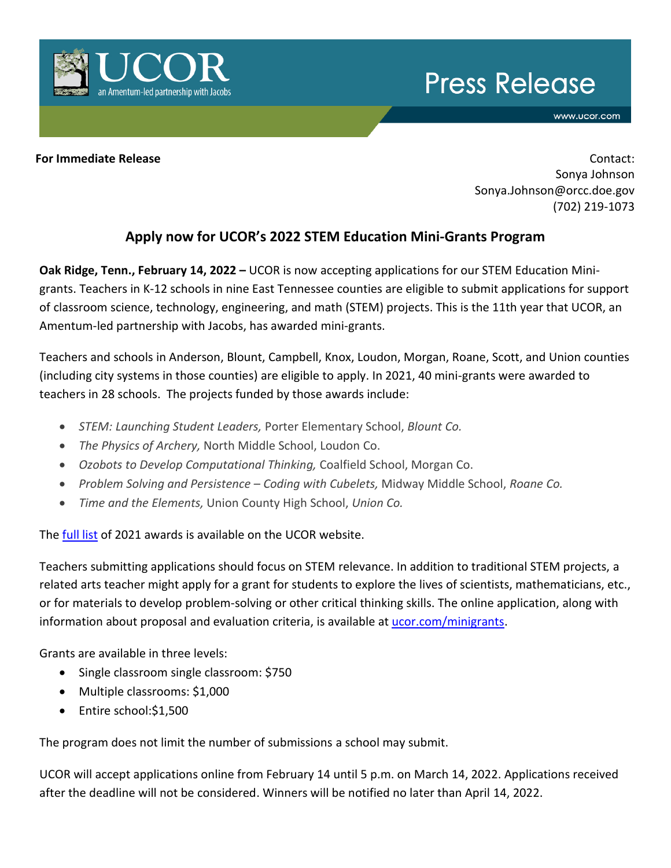

## **Press Release**

www.ucor.com

## **For Immediate Release and Contact: For Immediate Release Contact: Contact: Contact: Contact: Contact: Contact: Contact: Contact: Contact: Contact: Contact: Contact: Contact: Contact: Contac**

Sonya Johnson Sonya.Johnson@orcc.doe.gov (702) 219-1073

## **Apply now for UCOR's 2022 STEM Education Mini-Grants Program**

**Oak Ridge, Tenn., February 14, 2022 –** UCOR is now accepting applications for our STEM Education Minigrants. Teachers in K-12 schools in nine East Tennessee counties are eligible to submit applications for support of classroom science, technology, engineering, and math (STEM) projects. This is the 11th year that UCOR, an Amentum-led partnership with Jacobs, has awarded mini-grants.

Teachers and schools in Anderson, Blount, Campbell, Knox, Loudon, Morgan, Roane, Scott, and Union counties (including city systems in those counties) are eligible to apply. In 2021, 40 mini-grants were awarded to teachers in 28 schools. The projects funded by those awards include:

- *STEM: Launching Student Leaders,* Porter Elementary School, *Blount Co.*
- *The Physics of Archery,* North Middle School, Loudon Co.
- *Ozobots to Develop Computational Thinking,* Coalfield School, Morgan Co.
- *Problem Solving and Persistence – Coding with Cubelets,* Midway Middle School, *Roane Co.*
- *Time and the Elements,* Union County High School, *Union Co.*

The **full list** of 2021 awards is available on the UCOR website.

Teachers submitting applications should focus on STEM relevance. In addition to traditional STEM projects, a related arts teacher might apply for a grant for students to explore the lives of scientists, mathematicians, etc., or for materials to develop problem-solving or other critical thinking skills. The online application, along with information about proposal and evaluation criteria, is available at [ucor.com/minigrants.](https://ucor.com/minigrants/)

Grants are available in three levels:

- Single classroom single classroom: \$750
- Multiple classrooms: \$1,000
- Entire school:\$1,500

The program does not limit the number of submissions a school may submit.

UCOR will accept applications online from February 14 until 5 p.m. on March 14, 2022. Applications received after the deadline will not be considered. Winners will be notified no later than April 14, 2022.